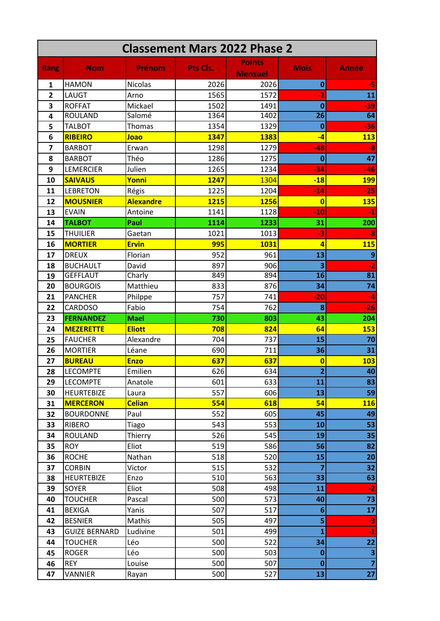| <b>Classement Mars 2022 Phase 2</b> |                      |                  |          |                                 |                         |                         |  |  |  |
|-------------------------------------|----------------------|------------------|----------|---------------------------------|-------------------------|-------------------------|--|--|--|
| <b>Rang</b>                         | <b>Nom</b>           | Prénom           | Pts Cls. | <b>Points</b><br><b>Mensuel</b> | <b>Mois</b>             | <b>Année</b>            |  |  |  |
| 1                                   | <b>HAMON</b>         | <b>Nicolas</b>   | 2026     | 2026                            | $\bf{0}$                | -5                      |  |  |  |
| $\overline{2}$                      | LAUGT                | Arno             | 1565     | 1572                            | $-2$                    | 11                      |  |  |  |
| 3                                   | <b>ROFFAT</b>        | Mickael          | 1502     | 1491                            | $\bf{0}$                | $-39$                   |  |  |  |
| 4                                   | <b>ROULAND</b>       | Salomé           | 1364     | 1402                            | 26                      | 64                      |  |  |  |
| 5                                   | <b>TALBOT</b>        | <b>Thomas</b>    | 1354     | 1329                            | $\bf{0}$                | $-36$                   |  |  |  |
| 6                                   | <b>RIBEIRO</b>       | Joao             | 1347     | 1383                            | $-4$                    | <b>113</b>              |  |  |  |
| $\overline{7}$                      | <b>BARBOT</b>        | Erwan            | 1298     | 1279                            | $-48$                   | $-8$                    |  |  |  |
| 8                                   | <b>BARBOT</b>        | Théo             | 1286     | 1275                            | $\bf{0}$                | 47                      |  |  |  |
| 9                                   | <b>LEMERCIER</b>     | Julien           | 1265     | 1234                            | $-34$                   | $-46$                   |  |  |  |
| 10                                  | <b>SAIVAUS</b>       | Yonni            | 1247     | 1304                            | $-18$                   | <b>199</b>              |  |  |  |
| 11                                  | <b>LEBRETON</b>      | Régis            | 1225     | 1204                            | $-14$                   | $-25$                   |  |  |  |
| 12                                  | <b>MOUSNIER</b>      | <b>Alexandre</b> | 1215     | 1256                            | $\overline{0}$          | <b>135</b>              |  |  |  |
| 13                                  | <b>EVAIN</b>         | Antoine          | 1141     | 1128                            | $-10$                   | -1                      |  |  |  |
| 14                                  | <b>TALBOT</b>        | Paul             | 1114     | 1233                            | 31                      | 200                     |  |  |  |
| 15                                  | <b>THUILIER</b>      | Gaetan           | 1021     | 1013                            | $-3$                    | $-8$                    |  |  |  |
| 16                                  | <b>MORTIER</b>       | <b>Ervin</b>     | 995      | 1031                            | $\overline{a}$          | <b>115</b>              |  |  |  |
| 17                                  | <b>DREUX</b>         | Florian          | 952      | 961                             | 13                      | $\boldsymbol{9}$        |  |  |  |
| 18                                  | <b>BUCHAULT</b>      | David            | 897      | 906                             | 3                       | $-2$                    |  |  |  |
| 19                                  | <b>GEFFLAUT</b>      | Charly           | 849      | 894                             | 16                      | 81                      |  |  |  |
| 20                                  | <b>BOURGOIS</b>      | Matthieu         | 833      | 876                             | 34                      | 74                      |  |  |  |
| 21                                  | <b>PANCHER</b>       | Philppe          | 757      | 741                             | $-20$                   | $-4$                    |  |  |  |
| 22                                  | <b>CARDOSO</b>       | Fabio            | 754      | 762                             | 8                       | $-26$                   |  |  |  |
| 23                                  | <b>FERNANDEZ</b>     | <b>Mael</b>      | 730      | 803                             | 43                      | 204                     |  |  |  |
| 24                                  | <b>MEZERETTE</b>     | <b>Eliott</b>    | 708      | 824                             | 64                      | <b>153</b>              |  |  |  |
| 25                                  | <b>FAUCHER</b>       | Alexandre        | 704      | 737                             | 15                      | 70                      |  |  |  |
| 26                                  | <b>MORTIER</b>       | Léane            | 690      | 711                             | 36                      | 31                      |  |  |  |
| 27                                  | <b>BUREAU</b>        | <b>Enzo</b>      | 637      | 637                             | $\bf{0}$                | <b>103</b>              |  |  |  |
| 28                                  | <b>LECOMPTE</b>      | Emilien          | 626      | 634                             | z                       | 40                      |  |  |  |
| 29                                  | <b>LECOMPTE</b>      | Anatole          | 601      | 633                             | 11                      | 83                      |  |  |  |
| 30                                  | <b>HEURTEBIZE</b>    | Laura            | 557      | 606                             | 13                      | 59                      |  |  |  |
| 31                                  | <b>MERCERON</b>      | <b>Celian</b>    | 554      | 618                             | 54                      | <b>116</b>              |  |  |  |
| 32                                  | <b>BOURDONNE</b>     | Paul             | 552      | 605                             | 45                      | 49                      |  |  |  |
| 33                                  | <b>RIBERO</b>        | Tiago            | 543      | 553                             | 10                      | 53                      |  |  |  |
| 34                                  | <b>ROULAND</b>       | Thierry          | 526      | 545                             | 19                      | 35                      |  |  |  |
| 35                                  | <b>ROY</b>           | Eliot            | 519      | 586                             | 56                      | 82                      |  |  |  |
| 36                                  | <b>ROCHE</b>         | Nathan           | 518      | 520                             | 15                      | 20                      |  |  |  |
| 37                                  | <b>CORBIN</b>        | Victor           | 515      | 532                             | $\overline{\mathbf{z}}$ | 32                      |  |  |  |
| 38                                  | <b>HEURTEBIZE</b>    | Enzo             | 510      | 563                             | 33                      | 63                      |  |  |  |
| 39                                  | <b>SOYER</b>         | Eliot            | 508      | 498                             | 11                      | $-2$                    |  |  |  |
| 40                                  | <b>TOUCHER</b>       | Pascal           | 500      | 573                             | 40                      | 73                      |  |  |  |
| 41                                  | <b>BEXIGA</b>        | Yanis            | 507      | 517                             | $6\phantom{1}6$         | 17                      |  |  |  |
| 42                                  | <b>BESNIER</b>       | Mathis           | 505      | 497                             | 5                       | $-3$                    |  |  |  |
| 43                                  | <b>GUIZE BERNARD</b> | Ludivine         | 501      | 499                             | $\mathbf{1}$            | $-1$                    |  |  |  |
| 44                                  | <b>TOUCHER</b>       | Léo              | 500      | 522                             | 34                      | 22                      |  |  |  |
| 45                                  | <b>ROGER</b>         | Léo              | 500      | 503                             | $\bf{0}$                | $\overline{\mathbf{3}}$ |  |  |  |
| 46                                  | <b>REY</b>           | Louise           | 500      | 507                             | $\bf{0}$                | $\overline{\mathbf{z}}$ |  |  |  |
| 47                                  | VANNIER              | Rayan            | 500      | 527                             | 13                      | 27                      |  |  |  |